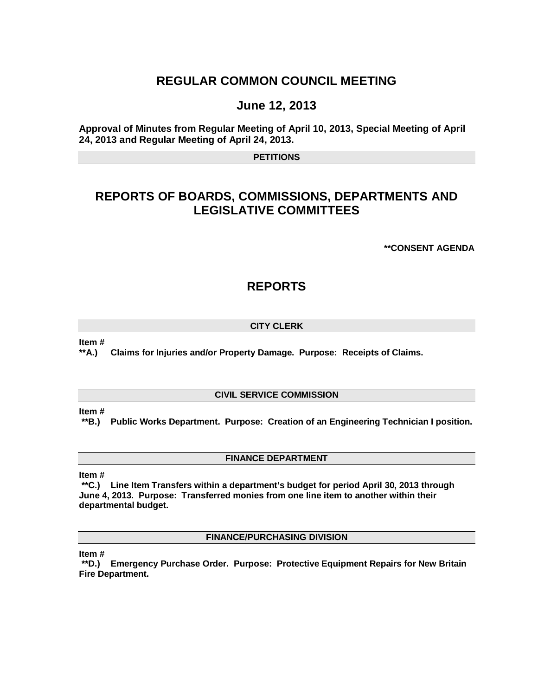# **REGULAR COMMON COUNCIL MEETING**

# **June 12, 2013**

**Approval of Minutes from Regular Meeting of April 10, 2013, Special Meeting of April 24, 2013 and Regular Meeting of April 24, 2013.**

**PETITIONS**

# **REPORTS OF BOARDS, COMMISSIONS, DEPARTMENTS AND LEGISLATIVE COMMITTEES**

**\*\*CONSENT AGENDA**

# **REPORTS**

## **CITY CLERK**

**Item #**

**\*\*A.) Claims for Injuries and/or Property Damage. Purpose: Receipts of Claims.**

## **CIVIL SERVICE COMMISSION**

**Item #**

**\*\*B.) Public Works Department. Purpose: Creation of an Engineering Technician I position.** 

## **FINANCE DEPARTMENT**

**Item #**

**\*\*C.) Line Item Transfers within a department's budget for period April 30, 2013 through June 4, 2013. Purpose: Transferred monies from one line item to another within their departmental budget.**

**FINANCE/PURCHASING DIVISION**

**Item #**

**\*\*D.) Emergency Purchase Order. Purpose: Protective Equipment Repairs for New Britain Fire Department.**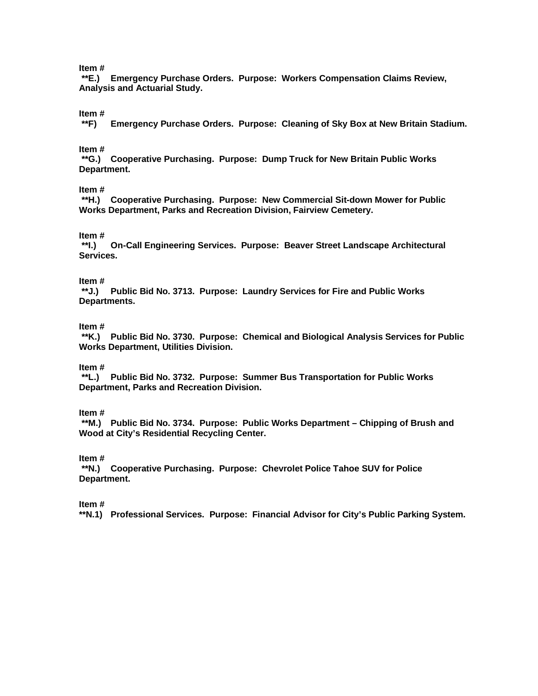## **Item #**

**\*\*E.) Emergency Purchase Orders. Purpose: Workers Compensation Claims Review, Analysis and Actuarial Study.**

#### **Item #**

**\*\*F) Emergency Purchase Orders. Purpose: Cleaning of Sky Box at New Britain Stadium.** 

#### **Item #**

**\*\*G.) Cooperative Purchasing. Purpose: Dump Truck for New Britain Public Works Department.**

#### **Item #**

**\*\*H.) Cooperative Purchasing. Purpose: New Commercial Sit-down Mower for Public Works Department, Parks and Recreation Division, Fairview Cemetery.** 

# **Item #**

**\*\*I.) On-Call Engineering Services. Purpose: Beaver Street Landscape Architectural Services.** 

#### **Item #**

**\*\*J.) Public Bid No. 3713. Purpose: Laundry Services for Fire and Public Works Departments.** 

#### **Item #**

**\*\*K.) Public Bid No. 3730. Purpose: Chemical and Biological Analysis Services for Public Works Department, Utilities Division.**

## **Item #**

**\*\*L.) Public Bid No. 3732. Purpose: Summer Bus Transportation for Public Works Department, Parks and Recreation Division.** 

#### **Item #**

**\*\*M.) Public Bid No. 3734. Purpose: Public Works Department – Chipping of Brush and Wood at City's Residential Recycling Center.** 

**Item #**

**\*\*N.) Cooperative Purchasing. Purpose: Chevrolet Police Tahoe SUV for Police Department.** 

**Item #**

**\*\*N.1) Professional Services. Purpose: Financial Advisor for City's Public Parking System.**